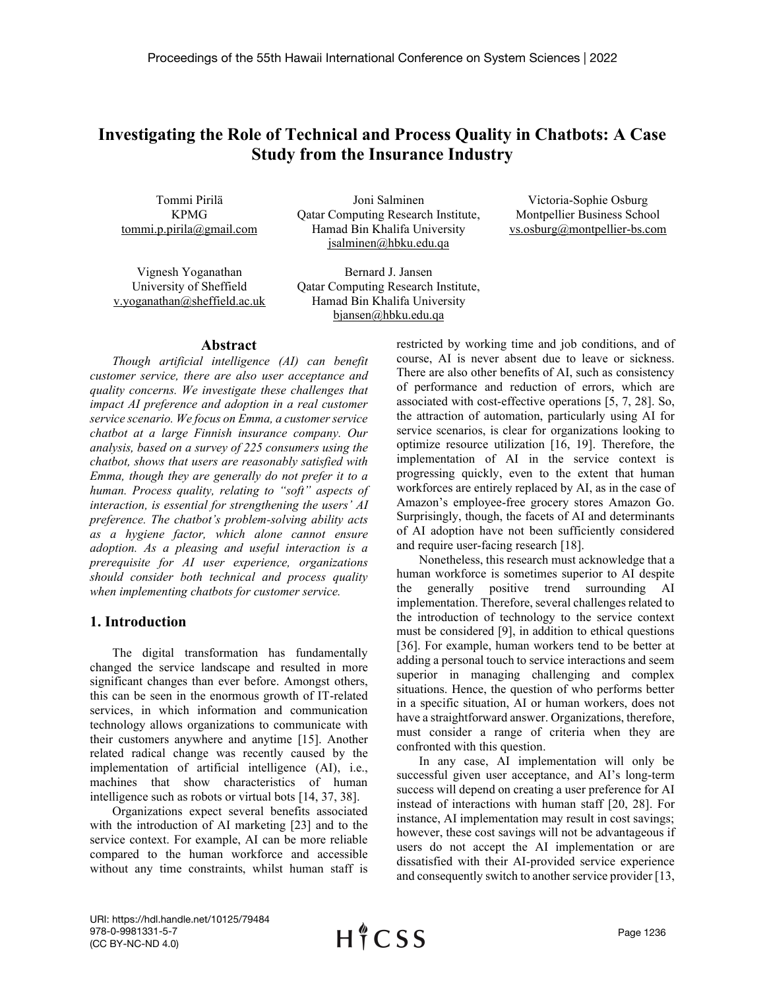# **Investigating the Role of Technical and Process Quality in Chatbots: A Case Study from the Insurance Industry**

Tommi Pirilä KPMG tommi.p.pirila@gmail.com

Joni Salminen Qatar Computing Research Institute, Hamad Bin Khalifa University jsalminen@hbku.edu.qa

Victoria-Sophie Osburg Montpellier Business School vs.osburg@montpellier-bs.com

Vignesh Yoganathan University of Sheffield v.yoganathan@sheffield.ac.uk

Bernard J. Jansen Qatar Computing Research Institute, Hamad Bin Khalifa University bjansen@hbku.edu.qa

## **Abstract**

*Though artificial intelligence (AI) can benefit customer service, there are also user acceptance and quality concerns. We investigate these challenges that impact AI preference and adoption in a real customer service scenario. We focus on Emma, a customer service chatbot at a large Finnish insurance company. Our analysis, based on a survey of 225 consumers using the chatbot, shows that users are reasonably satisfied with Emma, though they are generally do not prefer it to a human. Process quality, relating to "soft" aspects of interaction, is essential for strengthening the users' AI preference. The chatbot's problem-solving ability acts as a hygiene factor, which alone cannot ensure adoption. As a pleasing and useful interaction is a prerequisite for AI user experience, organizations should consider both technical and process quality when implementing chatbots for customer service.*

# **1. Introduction**

The digital transformation has fundamentally changed the service landscape and resulted in more significant changes than ever before. Amongst others, this can be seen in the enormous growth of IT-related services, in which information and communication technology allows organizations to communicate with their customers anywhere and anytime [15]. Another related radical change was recently caused by the implementation of artificial intelligence (AI), i.e., machines that show characteristics of human intelligence such as robots or virtual bots [14, 37, 38].

Organizations expect several benefits associated with the introduction of AI marketing [23] and to the service context. For example, AI can be more reliable compared to the human workforce and accessible without any time constraints, whilst human staff is restricted by working time and job conditions, and of course, AI is never absent due to leave or sickness. There are also other benefits of AI, such as consistency of performance and reduction of errors, which are associated with cost-effective operations [5, 7, 28]. So, the attraction of automation, particularly using AI for service scenarios, is clear for organizations looking to optimize resource utilization [16, 19]. Therefore, the implementation of AI in the service context is progressing quickly, even to the extent that human workforces are entirely replaced by AI, as in the case of Amazon's employee-free grocery stores Amazon Go. Surprisingly, though, the facets of AI and determinants of AI adoption have not been sufficiently considered and require user-facing research [18].

Nonetheless, this research must acknowledge that a human workforce is sometimes superior to AI despite the generally positive trend surrounding AI implementation. Therefore, several challenges related to the introduction of technology to the service context must be considered [9], in addition to ethical questions [36]. For example, human workers tend to be better at adding a personal touch to service interactions and seem superior in managing challenging and complex situations. Hence, the question of who performs better in a specific situation, AI or human workers, does not have a straightforward answer. Organizations, therefore, must consider a range of criteria when they are confronted with this question.

In any case, AI implementation will only be successful given user acceptance, and AI's long-term success will depend on creating a user preference for AI instead of interactions with human staff [20, 28]. For instance, AI implementation may result in cost savings; however, these cost savings will not be advantageous if users do not accept the AI implementation or are dissatisfied with their AI-provided service experience and consequently switch to another service provider [13,

URI: https://hdl.handle.net/10125/79484 978-0-9981331-5-7 (CC BY-NC-ND 4.0)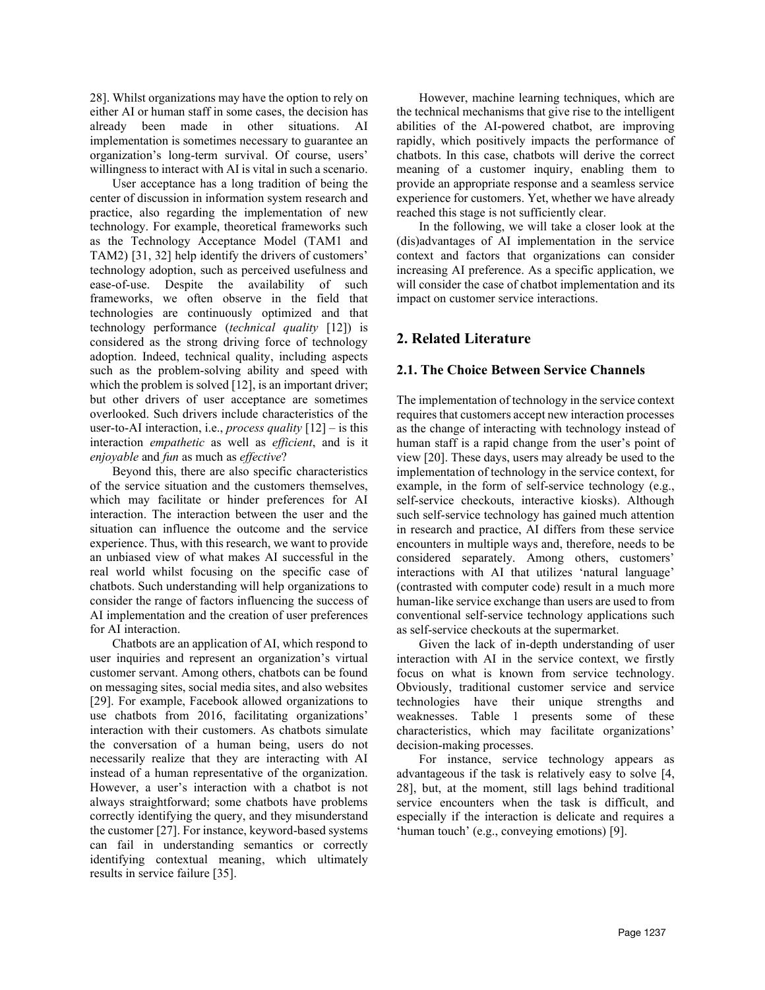28]. Whilst organizations may have the option to rely on either AI or human staff in some cases, the decision has already been made in other situations. AI implementation is sometimes necessary to guarantee an organization's long-term survival. Of course, users' willingness to interact with AI is vital in such a scenario.

User acceptance has a long tradition of being the center of discussion in information system research and practice, also regarding the implementation of new technology. For example, theoretical frameworks such as the Technology Acceptance Model (TAM1 and TAM2) [31, 32] help identify the drivers of customers' technology adoption, such as perceived usefulness and ease-of-use. Despite the availability of such frameworks, we often observe in the field that technologies are continuously optimized and that technology performance (*technical quality* [12]) is considered as the strong driving force of technology adoption. Indeed, technical quality, including aspects such as the problem-solving ability and speed with which the problem is solved [12], is an important driver; but other drivers of user acceptance are sometimes overlooked. Such drivers include characteristics of the user-to-AI interaction, i.e., *process quality* [12] – is this interaction *empathetic* as well as *efficient*, and is it *enjoyable* and *fun* as much as *effective*?

Beyond this, there are also specific characteristics of the service situation and the customers themselves, which may facilitate or hinder preferences for AI interaction. The interaction between the user and the situation can influence the outcome and the service experience. Thus, with this research, we want to provide an unbiased view of what makes AI successful in the real world whilst focusing on the specific case of chatbots. Such understanding will help organizations to consider the range of factors influencing the success of AI implementation and the creation of user preferences for AI interaction.

Chatbots are an application of AI, which respond to user inquiries and represent an organization's virtual customer servant. Among others, chatbots can be found on messaging sites, social media sites, and also websites [29]. For example, Facebook allowed organizations to use chatbots from 2016, facilitating organizations' interaction with their customers. As chatbots simulate the conversation of a human being, users do not necessarily realize that they are interacting with AI instead of a human representative of the organization. However, a user's interaction with a chatbot is not always straightforward; some chatbots have problems correctly identifying the query, and they misunderstand the customer [27]. For instance, keyword-based systems can fail in understanding semantics or correctly identifying contextual meaning, which ultimately results in service failure [35].

However, machine learning techniques, which are the technical mechanisms that give rise to the intelligent abilities of the AI-powered chatbot, are improving rapidly, which positively impacts the performance of chatbots. In this case, chatbots will derive the correct meaning of a customer inquiry, enabling them to provide an appropriate response and a seamless service experience for customers. Yet, whether we have already reached this stage is not sufficiently clear.

In the following, we will take a closer look at the (dis)advantages of AI implementation in the service context and factors that organizations can consider increasing AI preference. As a specific application, we will consider the case of chatbot implementation and its impact on customer service interactions.

# **2. Related Literature**

#### **2.1. The Choice Between Service Channels**

The implementation of technology in the service context requires that customers accept new interaction processes as the change of interacting with technology instead of human staff is a rapid change from the user's point of view [20]. These days, users may already be used to the implementation of technology in the service context, for example, in the form of self-service technology (e.g., self-service checkouts, interactive kiosks). Although such self-service technology has gained much attention in research and practice, AI differs from these service encounters in multiple ways and, therefore, needs to be considered separately. Among others, customers' interactions with AI that utilizes 'natural language' (contrasted with computer code) result in a much more human-like service exchange than users are used to from conventional self-service technology applications such as self-service checkouts at the supermarket.

Given the lack of in-depth understanding of user interaction with AI in the service context, we firstly focus on what is known from service technology. Obviously, traditional customer service and service technologies have their unique strengths and weaknesses. Table 1 presents some of these characteristics, which may facilitate organizations' decision-making processes.

For instance, service technology appears as advantageous if the task is relatively easy to solve [4, 28], but, at the moment, still lags behind traditional service encounters when the task is difficult, and especially if the interaction is delicate and requires a 'human touch' (e.g., conveying emotions) [9].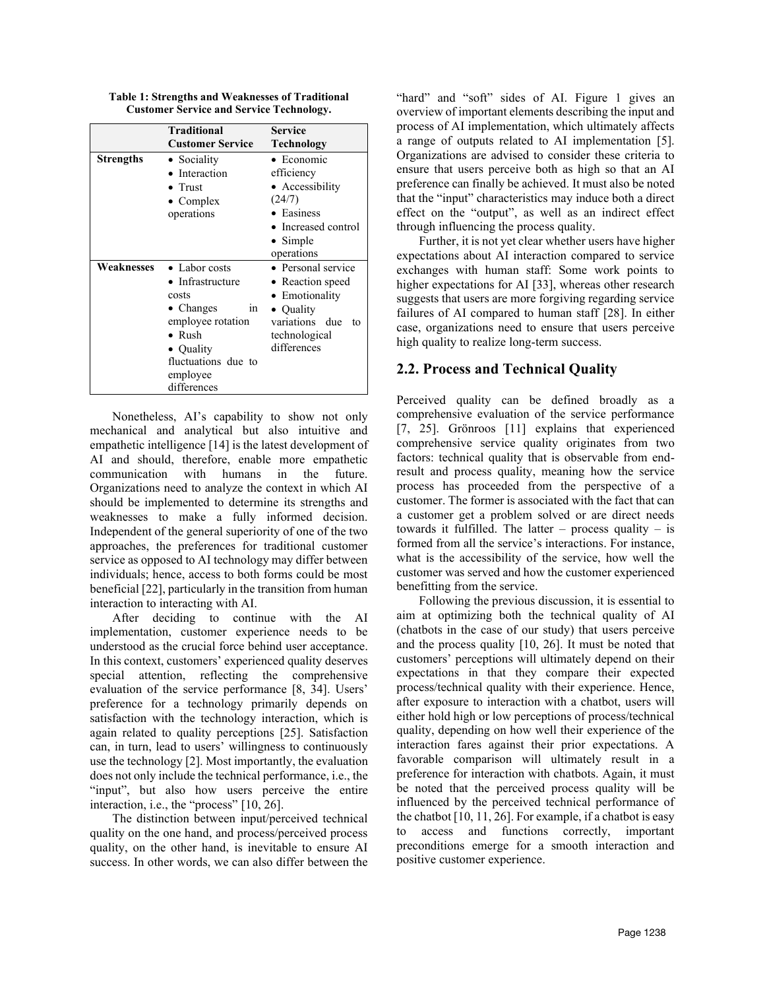**Table 1: Strengths and Weaknesses of Traditional Customer Service and Service Technology.**

|            | <b>Traditional</b><br><b>Customer Service</b>                                                                                                                               | <b>Service</b><br>Technology                                                                                                         |
|------------|-----------------------------------------------------------------------------------------------------------------------------------------------------------------------------|--------------------------------------------------------------------------------------------------------------------------------------|
| Strengths  | • Sociality<br>• Interaction<br>$\bullet$ Trust<br>$\bullet$ Complex<br>operations                                                                                          | $\bullet$ Economic<br>efficiency<br>• Accessibility<br>(24/7)<br>• Easiness<br>• Increased control<br>$\bullet$ Simple<br>operations |
| Weaknesses | $\bullet$ Labor costs<br>• Infrastructure<br>costs<br>• Changes<br>in<br>employee rotation<br>$\bullet$ Rush<br>• Quality<br>fluctuations due to<br>employee<br>differences | • Personal service<br>• Reaction speed<br>• Emotionality<br>• Quality<br>variations due<br>to<br>technological<br>differences        |

Nonetheless, AI's capability to show not only mechanical and analytical but also intuitive and empathetic intelligence [14] is the latest development of AI and should, therefore, enable more empathetic communication with humans in the future. Organizations need to analyze the context in which AI should be implemented to determine its strengths and weaknesses to make a fully informed decision. Independent of the general superiority of one of the two approaches, the preferences for traditional customer service as opposed to AI technology may differ between individuals; hence, access to both forms could be most beneficial [22], particularly in the transition from human interaction to interacting with AI.

After deciding to continue with the AI implementation, customer experience needs to be understood as the crucial force behind user acceptance. In this context, customers' experienced quality deserves special attention, reflecting the comprehensive evaluation of the service performance [8, 34]. Users' preference for a technology primarily depends on satisfaction with the technology interaction, which is again related to quality perceptions [25]. Satisfaction can, in turn, lead to users' willingness to continuously use the technology [2]. Most importantly, the evaluation does not only include the technical performance, i.e., the "input", but also how users perceive the entire interaction, i.e., the "process" [10, 26].

The distinction between input/perceived technical quality on the one hand, and process/perceived process quality, on the other hand, is inevitable to ensure AI success. In other words, we can also differ between the "hard" and "soft" sides of AI. Figure 1 gives an overview of important elements describing the input and process of AI implementation, which ultimately affects a range of outputs related to AI implementation [5]. Organizations are advised to consider these criteria to ensure that users perceive both as high so that an AI preference can finally be achieved. It must also be noted that the "input" characteristics may induce both a direct effect on the "output", as well as an indirect effect through influencing the process quality.

Further, it is not yet clear whether users have higher expectations about AI interaction compared to service exchanges with human staff: Some work points to higher expectations for AI [33], whereas other research suggests that users are more forgiving regarding service failures of AI compared to human staff [28]. In either case, organizations need to ensure that users perceive high quality to realize long-term success.

# **2.2. Process and Technical Quality**

Perceived quality can be defined broadly as a comprehensive evaluation of the service performance [7, 25]. Grönroos [11] explains that experienced comprehensive service quality originates from two factors: technical quality that is observable from endresult and process quality, meaning how the service process has proceeded from the perspective of a customer. The former is associated with the fact that can a customer get a problem solved or are direct needs towards it fulfilled. The latter – process quality – is formed from all the service's interactions. For instance, what is the accessibility of the service, how well the customer was served and how the customer experienced benefitting from the service.

Following the previous discussion, it is essential to aim at optimizing both the technical quality of AI (chatbots in the case of our study) that users perceive and the process quality [10, 26]. It must be noted that customers' perceptions will ultimately depend on their expectations in that they compare their expected process/technical quality with their experience. Hence, after exposure to interaction with a chatbot, users will either hold high or low perceptions of process/technical quality, depending on how well their experience of the interaction fares against their prior expectations. A favorable comparison will ultimately result in a preference for interaction with chatbots. Again, it must be noted that the perceived process quality will be influenced by the perceived technical performance of the chatbot [10, 11, 26]. For example, if a chatbot is easy to access and functions correctly, important preconditions emerge for a smooth interaction and positive customer experience.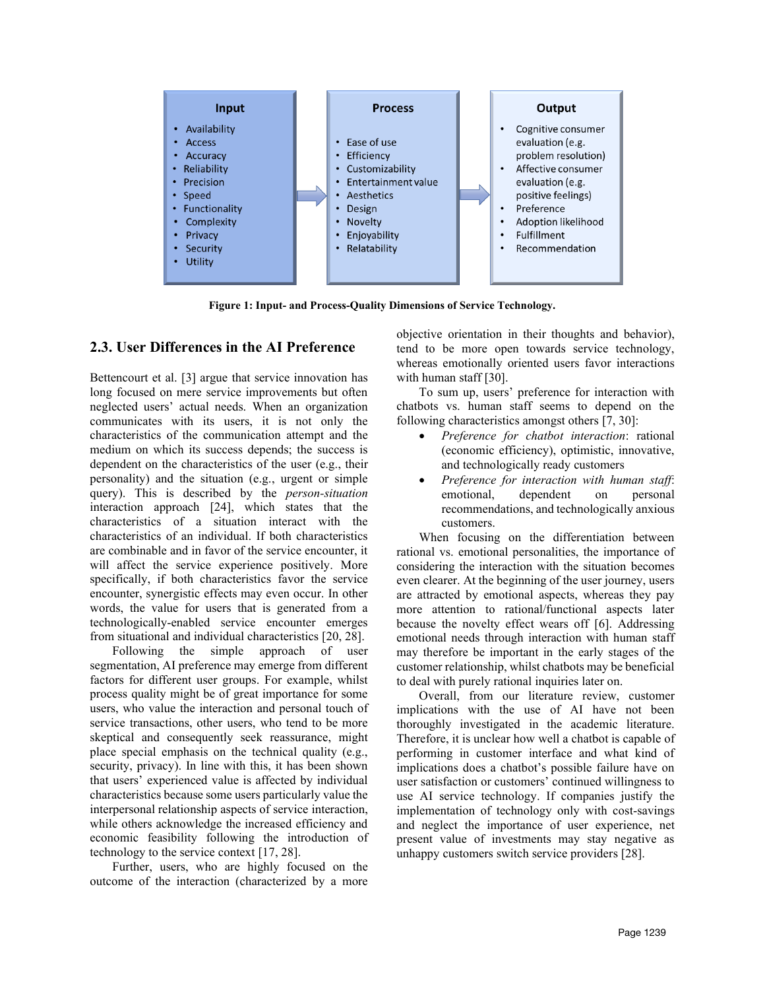

**Figure 1: Input- and Process-Quality Dimensions of Service Technology.**

# **2.3. User Differences in the AI Preference**

Bettencourt et al. [3] argue that service innovation has long focused on mere service improvements but often neglected users' actual needs. When an organization communicates with its users, it is not only the characteristics of the communication attempt and the medium on which its success depends; the success is dependent on the characteristics of the user (e.g., their personality) and the situation (e.g., urgent or simple query). This is described by the *person-situation*  interaction approach [24], which states that the characteristics of a situation interact with the characteristics of an individual. If both characteristics are combinable and in favor of the service encounter, it will affect the service experience positively. More specifically, if both characteristics favor the service encounter, synergistic effects may even occur. In other words, the value for users that is generated from a technologically-enabled service encounter emerges from situational and individual characteristics [20, 28].

Following the simple approach of user segmentation, AI preference may emerge from different factors for different user groups. For example, whilst process quality might be of great importance for some users, who value the interaction and personal touch of service transactions, other users, who tend to be more skeptical and consequently seek reassurance, might place special emphasis on the technical quality (e.g., security, privacy). In line with this, it has been shown that users' experienced value is affected by individual characteristics because some users particularly value the interpersonal relationship aspects of service interaction, while others acknowledge the increased efficiency and economic feasibility following the introduction of technology to the service context [17, 28].

Further, users, who are highly focused on the outcome of the interaction (characterized by a more

objective orientation in their thoughts and behavior), tend to be more open towards service technology, whereas emotionally oriented users favor interactions with human staff [30].

To sum up, users' preference for interaction with chatbots vs. human staff seems to depend on the following characteristics amongst others [7, 30]:

- *Preference for chatbot interaction*: rational (economic efficiency), optimistic, innovative, and technologically ready customers
- *Preference for interaction with human staff*: emotional, dependent on personal recommendations, and technologically anxious customers.

When focusing on the differentiation between rational vs. emotional personalities, the importance of considering the interaction with the situation becomes even clearer. At the beginning of the user journey, users are attracted by emotional aspects, whereas they pay more attention to rational/functional aspects later because the novelty effect wears off [6]. Addressing emotional needs through interaction with human staff may therefore be important in the early stages of the customer relationship, whilst chatbots may be beneficial to deal with purely rational inquiries later on.

Overall, from our literature review, customer implications with the use of AI have not been thoroughly investigated in the academic literature. Therefore, it is unclear how well a chatbot is capable of performing in customer interface and what kind of implications does a chatbot's possible failure have on user satisfaction or customers' continued willingness to use AI service technology. If companies justify the implementation of technology only with cost-savings and neglect the importance of user experience, net present value of investments may stay negative as unhappy customers switch service providers [28].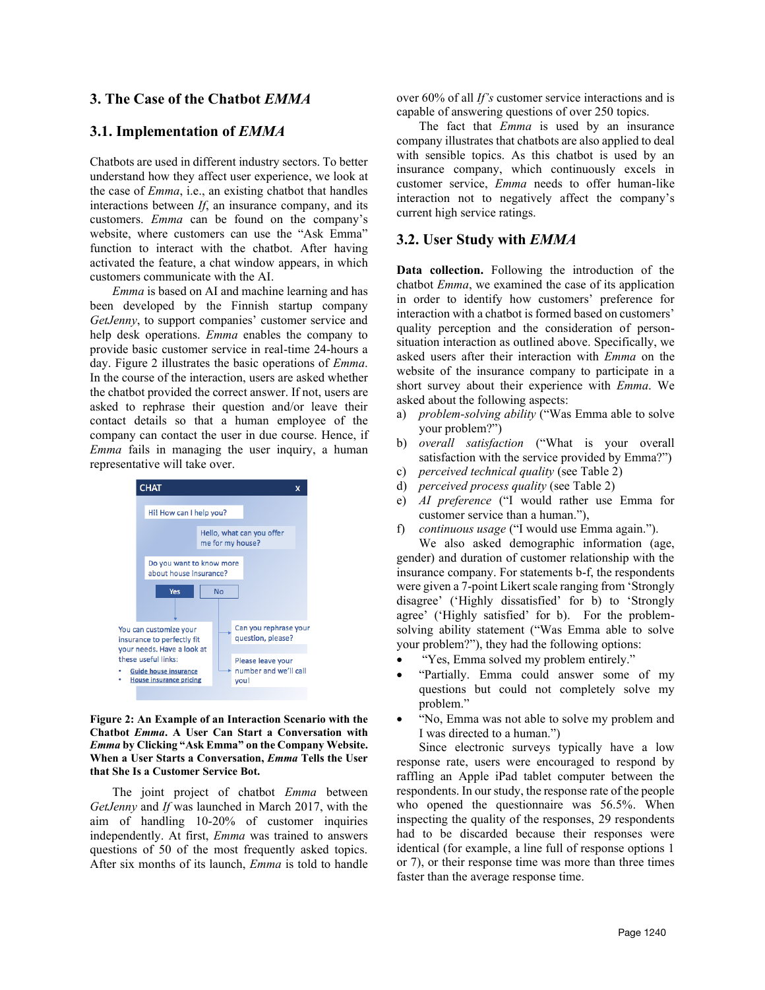## **3. The Case of the Chatbot** *EMMA*

## **3.1. Implementation of** *EMMA*

Chatbots are used in different industry sectors. To better understand how they affect user experience, we look at the case of *Emma*, i.e., an existing chatbot that handles interactions between *If*, an insurance company, and its customers. *Emma* can be found on the company's website, where customers can use the "Ask Emma" function to interact with the chatbot. After having activated the feature, a chat window appears, in which customers communicate with the AI.

*Emma* is based on AI and machine learning and has been developed by the Finnish startup company *GetJenny*, to support companies' customer service and help desk operations. *Emma* enables the company to provide basic customer service in real-time 24-hours a day. Figure 2 illustrates the basic operations of *Emma*. In the course of the interaction, users are asked whether the chatbot provided the correct answer. If not, users are asked to rephrase their question and/or leave their contact details so that a human employee of the company can contact the user in due course. Hence, if *Emma* fails in managing the user inquiry, a human representative will take over.



**Figure 2: An Example of an Interaction Scenario with the Chatbot** *Emma***. A User Can Start a Conversation with**  *Emma* **by Clicking "Ask Emma" on the Company Website. When a User Starts a Conversation,** *Emma* **Tells the User that She Is a Customer Service Bot.**

The joint project of chatbot *Emma* between *GetJenny* and *If* was launched in March 2017, with the aim of handling 10-20% of customer inquiries independently. At first, *Emma* was trained to answers questions of 50 of the most frequently asked topics. After six months of its launch, *Emma* is told to handle over 60% of all *If's* customer service interactions and is capable of answering questions of over 250 topics.

The fact that *Emma* is used by an insurance company illustrates that chatbots are also applied to deal with sensible topics. As this chatbot is used by an insurance company, which continuously excels in customer service, *Emma* needs to offer human-like interaction not to negatively affect the company's current high service ratings.

#### **3.2. User Study with** *EMMA*

**Data collection.** Following the introduction of the chatbot *Emma*, we examined the case of its application in order to identify how customers' preference for interaction with a chatbot is formed based on customers' quality perception and the consideration of personsituation interaction as outlined above. Specifically, we asked users after their interaction with *Emma* on the website of the insurance company to participate in a short survey about their experience with *Emma*. We asked about the following aspects:

- a) *problem-solving ability* ("Was Emma able to solve your problem?")
- b) *overall satisfaction* ("What is your overall satisfaction with the service provided by Emma?")
- c) *perceived technical quality* (se[e Table 2\)](#page-5-0)
- d) *perceived process quality* (se[e Table 2\)](#page-5-0)
- e) *AI preference* ("I would rather use Emma for customer service than a human."),
- f) *continuous usage* ("I would use Emma again.").

We also asked demographic information (age, gender) and duration of customer relationship with the insurance company. For statements b-f, the respondents were given a 7-point Likert scale ranging from 'Strongly disagree' ('Highly dissatisfied' for b) to 'Strongly agree' ('Highly satisfied' for b). For the problemsolving ability statement ("Was Emma able to solve your problem?"), they had the following options:

- "Yes, Emma solved my problem entirely."
- "Partially. Emma could answer some of my questions but could not completely solve my problem."
- "No, Emma was not able to solve my problem and I was directed to a human.")

Since electronic surveys typically have a low response rate, users were encouraged to respond by raffling an Apple iPad tablet computer between the respondents. In our study, the response rate of the people who opened the questionnaire was 56.5%. When inspecting the quality of the responses, 29 respondents had to be discarded because their responses were identical (for example, a line full of response options 1 or 7), or their response time was more than three times faster than the average response time.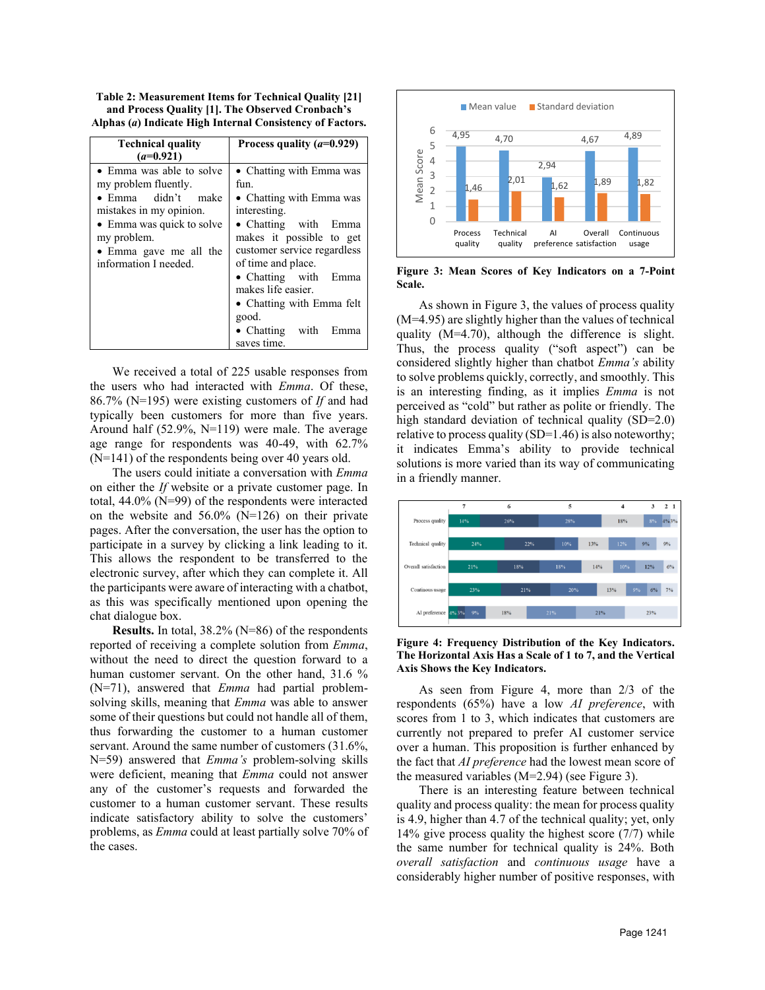<span id="page-5-0"></span>**Table 2: Measurement Items for Technical Quality [21] and Process Quality [1]. The Observed Cronbach's Alphas (***a***) Indicate High Internal Consistency of Factors.**

| <b>Technical quality</b><br>$(a=0.921)$                                                                                                                                                          | Process quality $(a=0.929)$                                                                                                                                                                                                                                                                                         |
|--------------------------------------------------------------------------------------------------------------------------------------------------------------------------------------------------|---------------------------------------------------------------------------------------------------------------------------------------------------------------------------------------------------------------------------------------------------------------------------------------------------------------------|
| • Emma was able to solve<br>my problem fluently.<br>• Emma didn't make<br>mistakes in my opinion.<br>• Emma was quick to solve<br>my problem.<br>• Emma gave me all the<br>information I needed. | • Chatting with Emma was<br>fun.<br>• Chatting with Emma was<br>interesting.<br>• Chatting with Emma<br>makes it possible to get<br>customer service regardless<br>of time and place.<br>• Chatting with Emma<br>makes life easier.<br>• Chatting with Emma felt<br>good.<br>• Chatting with<br>Emma<br>saves time. |

We received a total of 225 usable responses from the users who had interacted with *Emma*. Of these, 86.7% (N=195) were existing customers of *If* and had typically been customers for more than five years. Around half (52.9%, N=119) were male. The average age range for respondents was 40-49, with 62.7% (N=141) of the respondents being over 40 years old.

The users could initiate a conversation with *Emma* on either the *If* website or a private customer page. In total, 44.0% (N=99) of the respondents were interacted on the website and 56.0% (N=126) on their private pages. After the conversation, the user has the option to participate in a survey by clicking a link leading to it. This allows the respondent to be transferred to the electronic survey, after which they can complete it. All the participants were aware of interacting with a chatbot, as this was specifically mentioned upon opening the chat dialogue box.

**Results.** In total, 38.2% (N=86) of the respondents reported of receiving a complete solution from *Emma*, without the need to direct the question forward to a human customer servant. On the other hand, 31.6 % (N=71), answered that *Emma* had partial problemsolving skills, meaning that *Emma* was able to answer some of their questions but could not handle all of them, thus forwarding the customer to a human customer servant. Around the same number of customers (31.6%, N=59) answered that *Emma's* problem-solving skills were deficient, meaning that *Emma* could not answer any of the customer's requests and forwarded the customer to a human customer servant. These results indicate satisfactory ability to solve the customers' problems, as *Emma* could at least partially solve 70% of the cases.



<span id="page-5-1"></span>**Figure 3: Mean Scores of Key Indicators on a 7-Point Scale.**

As shown in [Figure 3,](#page-5-1) the values of process quality (M=4.95) are slightly higher than the values of technical quality (M=4.70), although the difference is slight. Thus, the process quality ("soft aspect") can be considered slightly higher than chatbot *Emma's* ability to solve problems quickly, correctly, and smoothly. This is an interesting finding, as it implies *Emma* is not perceived as "cold" but rather as polite or friendly. The high standard deviation of technical quality (SD=2.0) relative to process quality (SD=1.46) is also noteworthy; it indicates Emma's ability to provide technical solutions is more varied than its way of communicating in a friendly manner.



<span id="page-5-2"></span>**Figure 4: Frequency Distribution of the Key Indicators. The Horizontal Axis Has a Scale of 1 to 7, and the Vertical Axis Shows the Key Indicators.**

As seen from [Figure 4,](#page-5-2) more than 2/3 of the respondents (65%) have a low *AI preference*, with scores from 1 to 3, which indicates that customers are currently not prepared to prefer AI customer service over a human. This proposition is further enhanced by the fact that *AI preference* had the lowest mean score of the measured variables (M=2.94) (se[e Figure 3\)](#page-5-1).

There is an interesting feature between technical quality and process quality: the mean for process quality is 4.9, higher than 4.7 of the technical quality; yet, only 14% give process quality the highest score (7/7) while the same number for technical quality is 24%. Both *overall satisfaction* and *continuous usage* have a considerably higher number of positive responses, with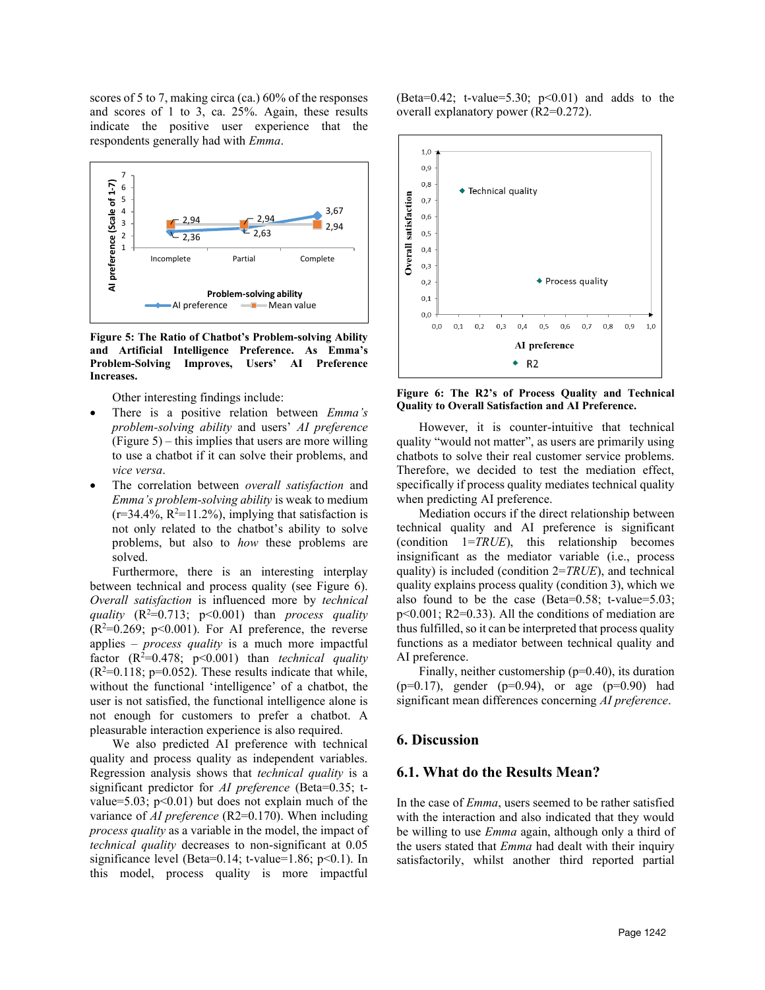scores of 5 to 7, making circa (ca.) 60% of the responses and scores of 1 to 3, ca. 25%. Again, these results indicate the positive user experience that the respondents generally had with *Emma*.



<span id="page-6-0"></span>**Figure 5: The Ratio of Chatbot's Problem-solving Ability and Artificial Intelligence Preference. As Emma's Problem-Solving Improves, Users' AI Preference Increases.**

Other interesting findings include:

- There is a positive relation between *Emma's problem-solving ability* and users' *AI preference*   $(Figure 5)$  – this implies that users are more willing to use a chatbot if it can solve their problems, and *vice versa*.
- The correlation between *overall satisfaction* and *Emma's problem-solving ability* is weak to medium  $(r=34.4\%, R^2=11.2\%)$ , implying that satisfaction is not only related to the chatbot's ability to solve problems, but also to *how* these problems are solved.

Furthermore, there is an interesting interplay between technical and process quality (see [Figure 6\)](#page-6-1). *Overall satisfaction* is influenced more by *technical quality* (R<sup>2=</sup>0.713; p<0.001) than *process quality*  $(R^2=0.269; p<0.001)$ . For AI preference, the reverse applies – *process quality* is a much more impactful factor  $(R^2=0.478; p<0.001)$  than *technical quality*  $(R<sup>2</sup>=0.118; p=0.052)$ . These results indicate that while, without the functional 'intelligence' of a chatbot, the user is not satisfied, the functional intelligence alone is not enough for customers to prefer a chatbot. A pleasurable interaction experience is also required.

We also predicted AI preference with technical quality and process quality as independent variables. Regression analysis shows that *technical quality* is a significant predictor for *AI preference* (Beta=0.35; tvalue=5.03;  $p<0.01$ ) but does not explain much of the variance of *AI preference* (R2=0.170). When including *process quality* as a variable in the model, the impact of *technical quality* decreases to non-significant at 0.05 significance level (Beta=0.14; t-value=1.86;  $p<0.1$ ). In this model, process quality is more impactful (Beta=0.42; t-value=5.30;  $p<0.01$ ) and adds to the overall explanatory power (R2=0.272).



<span id="page-6-1"></span>**Figure 6: The R2's of Process Quality and Technical Quality to Overall Satisfaction and AI Preference.**

However, it is counter-intuitive that technical quality "would not matter", as users are primarily using chatbots to solve their real customer service problems. Therefore, we decided to test the mediation effect, specifically if process quality mediates technical quality when predicting AI preference.

Mediation occurs if the direct relationship between technical quality and AI preference is significant (condition 1=*TRUE*), this relationship becomes insignificant as the mediator variable (i.e., process quality) is included (condition 2=*TRUE*), and technical quality explains process quality (condition 3), which we also found to be the case (Beta=0.58; t-value=5.03;  $p<0.001$ ; R2=0.33). All the conditions of mediation are thus fulfilled, so it can be interpreted that process quality functions as a mediator between technical quality and AI preference.

Finally, neither customership  $(p=0.40)$ , its duration  $(p=0.17)$ , gender  $(p=0.94)$ , or age  $(p=0.90)$  had significant mean differences concerning *AI preference*.

# **6. Discussion**

#### **6.1. What do the Results Mean?**

In the case of *Emma*, users seemed to be rather satisfied with the interaction and also indicated that they would be willing to use *Emma* again, although only a third of the users stated that *Emma* had dealt with their inquiry satisfactorily, whilst another third reported partial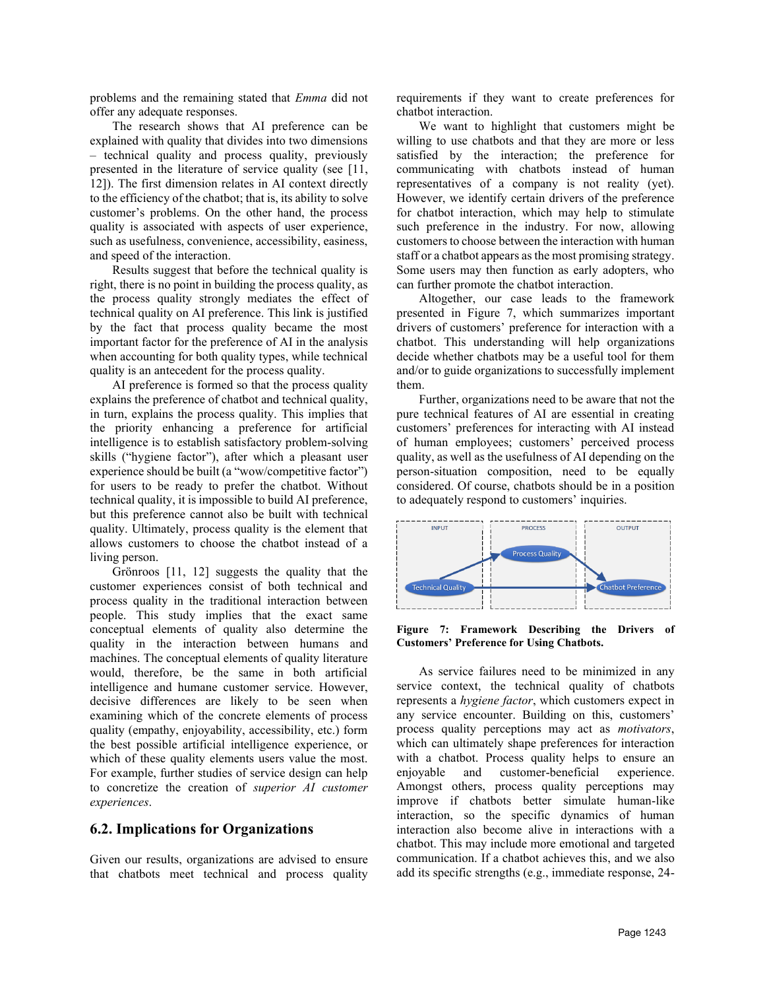problems and the remaining stated that *Emma* did not offer any adequate responses.

The research shows that AI preference can be explained with quality that divides into two dimensions – technical quality and process quality, previously presented in the literature of service quality (see [11, 12]). The first dimension relates in AI context directly to the efficiency of the chatbot; that is, its ability to solve customer's problems. On the other hand, the process quality is associated with aspects of user experience, such as usefulness, convenience, accessibility, easiness, and speed of the interaction.

Results suggest that before the technical quality is right, there is no point in building the process quality, as the process quality strongly mediates the effect of technical quality on AI preference. This link is justified by the fact that process quality became the most important factor for the preference of AI in the analysis when accounting for both quality types, while technical quality is an antecedent for the process quality.

AI preference is formed so that the process quality explains the preference of chatbot and technical quality, in turn, explains the process quality. This implies that the priority enhancing a preference for artificial intelligence is to establish satisfactory problem-solving skills ("hygiene factor"), after which a pleasant user experience should be built (a "wow/competitive factor") for users to be ready to prefer the chatbot. Without technical quality, it is impossible to build AI preference, but this preference cannot also be built with technical quality. Ultimately, process quality is the element that allows customers to choose the chatbot instead of a living person.

Grönroos [11, 12] suggests the quality that the customer experiences consist of both technical and process quality in the traditional interaction between people. This study implies that the exact same conceptual elements of quality also determine the quality in the interaction between humans and machines. The conceptual elements of quality literature would, therefore, be the same in both artificial intelligence and humane customer service. However, decisive differences are likely to be seen when examining which of the concrete elements of process quality (empathy, enjoyability, accessibility, etc.) form the best possible artificial intelligence experience, or which of these quality elements users value the most. For example, further studies of service design can help to concretize the creation of *superior AI customer experiences*.

#### **6.2. Implications for Organizations**

Given our results, organizations are advised to ensure that chatbots meet technical and process quality

requirements if they want to create preferences for chatbot interaction.

We want to highlight that customers might be willing to use chatbots and that they are more or less satisfied by the interaction; the preference for communicating with chatbots instead of human representatives of a company is not reality (yet). However, we identify certain drivers of the preference for chatbot interaction, which may help to stimulate such preference in the industry. For now, allowing customers to choose between the interaction with human staff or a chatbot appears as the most promising strategy. Some users may then function as early adopters, who can further promote the chatbot interaction.

Altogether, our case leads to the framework presented in [Figure 7,](#page-7-0) which summarizes important drivers of customers' preference for interaction with a chatbot. This understanding will help organizations decide whether chatbots may be a useful tool for them and/or to guide organizations to successfully implement them.

Further, organizations need to be aware that not the pure technical features of AI are essential in creating customers' preferences for interacting with AI instead of human employees; customers' perceived process quality, as well as the usefulness of AI depending on the person-situation composition, need to be equally considered. Of course, chatbots should be in a position to adequately respond to customers' inquiries.



<span id="page-7-0"></span>**Figure 7: Framework Describing the Drivers of Customers' Preference for Using Chatbots.**

As service failures need to be minimized in any service context, the technical quality of chatbots represents a *hygiene factor*, which customers expect in any service encounter. Building on this, customers' process quality perceptions may act as *motivators*, which can ultimately shape preferences for interaction with a chatbot. Process quality helps to ensure an enjoyable and customer-beneficial experience. Amongst others, process quality perceptions may improve if chatbots better simulate human-like interaction, so the specific dynamics of human interaction also become alive in interactions with a chatbot. This may include more emotional and targeted communication. If a chatbot achieves this, and we also add its specific strengths (e.g., immediate response, 24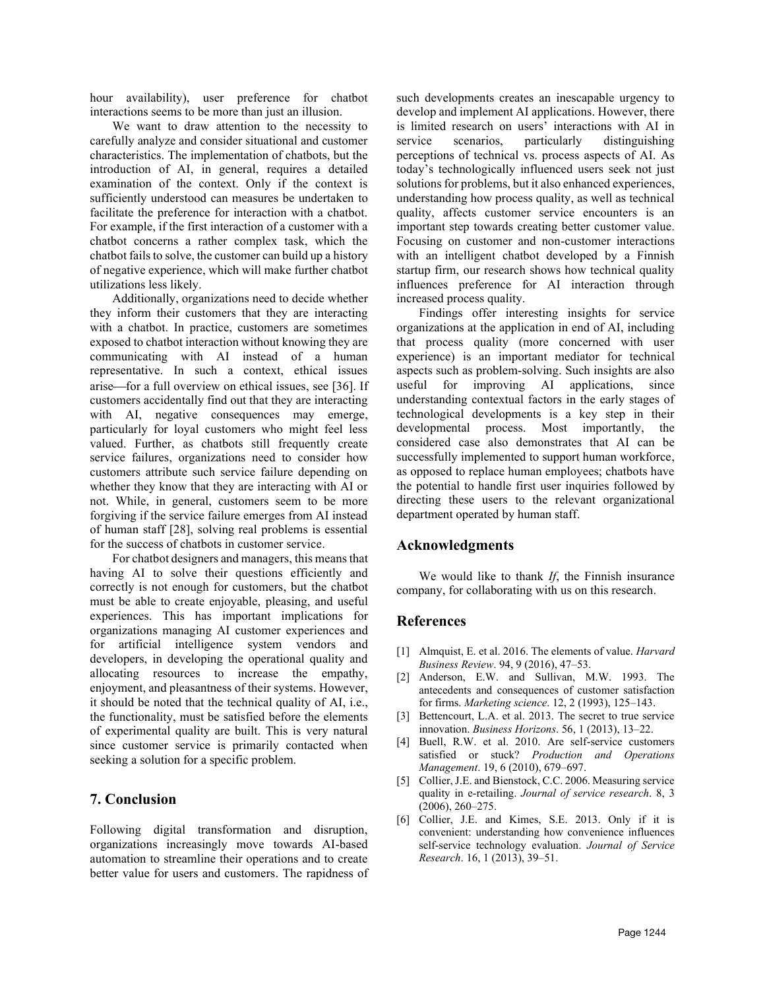hour availability), user preference for chatbot interactions seems to be more than just an illusion.

We want to draw attention to the necessity to carefully analyze and consider situational and customer characteristics. The implementation of chatbots, but the introduction of AI, in general, requires a detailed examination of the context. Only if the context is sufficiently understood can measures be undertaken to facilitate the preference for interaction with a chatbot. For example, if the first interaction of a customer with a chatbot concerns a rather complex task, which the chatbot fails to solve, the customer can build up a history of negative experience, which will make further chatbot utilizations less likely.

Additionally, organizations need to decide whether they inform their customers that they are interacting with a chatbot. In practice, customers are sometimes exposed to chatbot interaction without knowing they are communicating with AI instead of a human representative. In such a context, ethical issues arise—for a full overview on ethical issues, see [36]. If customers accidentally find out that they are interacting with AI, negative consequences may emerge, particularly for loyal customers who might feel less valued. Further, as chatbots still frequently create service failures, organizations need to consider how customers attribute such service failure depending on whether they know that they are interacting with AI or not. While, in general, customers seem to be more forgiving if the service failure emerges from AI instead of human staff [28], solving real problems is essential for the success of chatbots in customer service.

For chatbot designers and managers, this means that having AI to solve their questions efficiently and correctly is not enough for customers, but the chatbot must be able to create enjoyable, pleasing, and useful experiences. This has important implications for organizations managing AI customer experiences and for artificial intelligence system vendors and developers, in developing the operational quality and allocating resources to increase the empathy, enjoyment, and pleasantness of their systems. However, it should be noted that the technical quality of AI, i.e., the functionality, must be satisfied before the elements of experimental quality are built. This is very natural since customer service is primarily contacted when seeking a solution for a specific problem.

## **7. Conclusion**

Following digital transformation and disruption, organizations increasingly move towards AI-based automation to streamline their operations and to create better value for users and customers. The rapidness of such developments creates an inescapable urgency to develop and implement AI applications. However, there is limited research on users' interactions with AI in service scenarios, particularly distinguishing perceptions of technical vs. process aspects of AI. As today's technologically influenced users seek not just solutions for problems, but it also enhanced experiences, understanding how process quality, as well as technical quality, affects customer service encounters is an important step towards creating better customer value. Focusing on customer and non-customer interactions with an intelligent chatbot developed by a Finnish startup firm, our research shows how technical quality influences preference for AI interaction through increased process quality.

Findings offer interesting insights for service organizations at the application in end of AI, including that process quality (more concerned with user experience) is an important mediator for technical aspects such as problem-solving. Such insights are also useful for improving AI applications, since understanding contextual factors in the early stages of technological developments is a key step in their developmental process. Most importantly, the considered case also demonstrates that AI can be successfully implemented to support human workforce, as opposed to replace human employees; chatbots have the potential to handle first user inquiries followed by directing these users to the relevant organizational department operated by human staff.

#### **Acknowledgments**

We would like to thank *If*, the Finnish insurance company, for collaborating with us on this research.

#### **References**

- [1] Almquist, E. et al. 2016. The elements of value. *Harvard Business Review*. 94, 9 (2016), 47–53.
- [2] Anderson, E.W. and Sullivan, M.W. 1993. The antecedents and consequences of customer satisfaction for firms. *Marketing science*. 12, 2 (1993), 125–143.
- [3] Bettencourt, L.A. et al. 2013. The secret to true service innovation. *Business Horizons*. 56, 1 (2013), 13–22.
- [4] Buell, R.W. et al. 2010. Are self-service customers satisfied or stuck? *Production and Operations Management*. 19, 6 (2010), 679–697.
- [5] Collier, J.E. and Bienstock, C.C. 2006. Measuring service quality in e-retailing. *Journal of service research*. 8, 3 (2006), 260–275.
- [6] Collier, J.E. and Kimes, S.E. 2013. Only if it is convenient: understanding how convenience influences self-service technology evaluation. *Journal of Service Research*. 16, 1 (2013), 39–51.